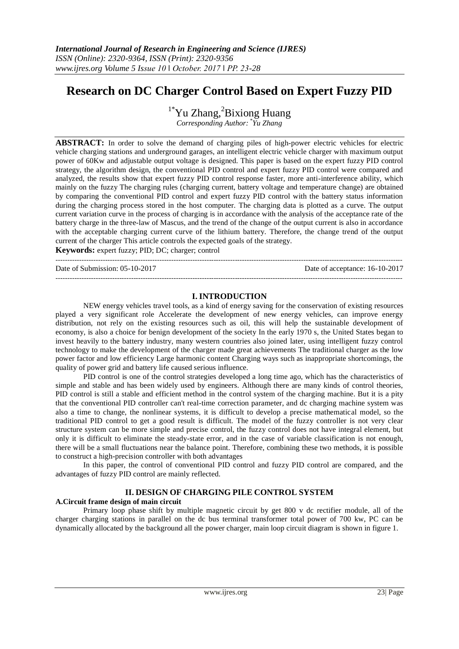# **Research on DC Charger Control Based on Expert Fuzzy PID**

## <sup>1\*</sup>Yu Zhang,<sup>2</sup>Bixiong Huang

*Corresponding Author: \* Yu Zhang*

**ABSTRACT:** In order to solve the demand of charging piles of high-power electric vehicles for electric vehicle charging stations and underground garages, an intelligent electric vehicle charger with maximum output power of 60Kw and adjustable output voltage is designed. This paper is based on the expert fuzzy PID control strategy, the algorithm design, the conventional PID control and expert fuzzy PID control were compared and analyzed, the results show that expert fuzzy PID control response faster, more anti-interference ability, which mainly on the fuzzy The charging rules (charging current, battery voltage and temperature change) are obtained by comparing the conventional PID control and expert fuzzy PID control with the battery status information during the charging process stored in the host computer. The charging data is plotted as a curve. The output current variation curve in the process of charging is in accordance with the analysis of the acceptance rate of the battery charge in the three-law of Mascus, and the trend of the change of the output current is also in accordance with the acceptable charging current curve of the lithium battery. Therefore, the change trend of the output current of the charger This article controls the expected goals of the strategy.

**Keywords:** expert fuzzy; PID; DC; charger; control

--------------------------------------------------------------------------------------------------------------------------------------------------- Date of Submission: 05-10-2017 Date of acceptance: 16-10-2017 ---------------------------------------------------------------------------------------------------------------------------------------------------

## **I. INTRODUCTION**

NEW energy vehicles travel tools, as a kind of energy saving for the conservation of existing resources played a very significant role Accelerate the development of new energy vehicles, can improve energy distribution, not rely on the existing resources such as oil, this will help the sustainable development of economy, is also a choice for benign development of the society In the early 1970 s, the United States began to invest heavily to the battery industry, many western countries also joined later, using intelligent fuzzy control technology to make the development of the charger made great achievements The traditional charger as the low power factor and low efficiency Large harmonic content Charging ways such as inappropriate shortcomings, the quality of power grid and battery life caused serious influence.

PID control is one of the control strategies developed a long time ago, which has the characteristics of simple and stable and has been widely used by engineers. Although there are many kinds of control theories, PID control is still a stable and efficient method in the control system of the charging machine. But it is a pity that the conventional PID controller can't real-time correction parameter, and dc charging machine system was also a time to change, the nonlinear systems, it is difficult to develop a precise mathematical model, so the traditional PID control to get a good result is difficult. The model of the fuzzy controller is not very clear structure system can be more simple and precise control, the fuzzy control does not have integral element, but only it is difficult to eliminate the steady-state error, and in the case of variable classification is not enough, there will be a small fluctuations near the balance point. Therefore, combining these two methods, it is possible to construct a high-precision controller with both advantages

In this paper, the control of conventional PID control and fuzzy PID control are compared, and the advantages of fuzzy PID control are mainly reflected.

## **II. DESIGN OF CHARGING PILE CONTROL SYSTEM**

## **A.Circuit frame design of main circuit**

Primary loop phase shift by multiple magnetic circuit by get 800 v dc rectifier module, all of the charger charging stations in parallel on the dc bus terminal transformer total power of 700 kw, PC can be dynamically allocated by the background all the power charger, main loop circuit diagram is shown in figure 1.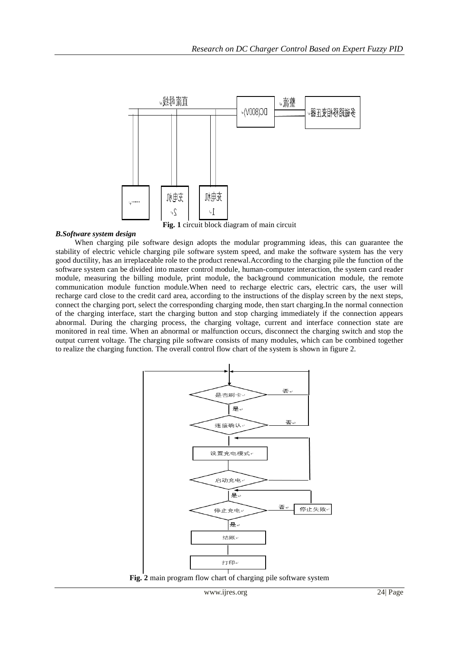

**Fig. 1** circuit block diagram of main circuit

## *B.Software system design*

When charging pile software design adopts the modular programming ideas, this can guarantee the stability of electric vehicle charging pile software system speed, and make the software system has the very good ductility, has an irreplaceable role to the product renewal.According to the charging pile the function of the software system can be divided into master control module, human-computer interaction, the system card reader module, measuring the billing module, print module, the background communication module, the remote communication module function module.When need to recharge electric cars, electric cars, the user will recharge card close to the credit card area, according to the instructions of the display screen by the next steps, connect the charging port, select the corresponding charging mode, then start charging.In the normal connection of the charging interface, start the charging button and stop charging immediately if the connection appears abnormal. During the charging process, the charging voltage, current and interface connection state are monitored in real time. When an abnormal or malfunction occurs, disconnect the charging switch and stop the output current voltage. The charging pile software consists of many modules, which can be combined together to realize the charging function. The overall control flow chart of the system is shown in figure 2.

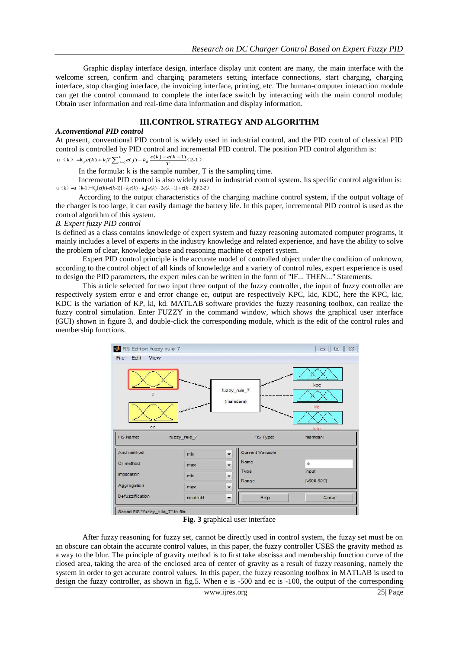Graphic display interface design, interface display unit content are many, the main interface with the welcome screen, confirm and charging parameters setting interface connections, start charging, charging interface, stop charging interface, the invoicing interface, printing, etc. The human-computer interaction module can get the control command to complete the interface switch by interacting with the main control module; Obtain user information and real-time data information and display information.

## **III.CONTROL STRATEGY AND ALGORITHM**

#### *A.conventional PID control*

At present, conventional PID control is widely used in industrial control, and the PID control of classical PID control is controlled by PID control and incremental PID control. The position PID control algorithm is: At present, conventional PID control is widely v<br>control is controlled by PID control and incremer<br>u (k)  $\Rightarrow_{n}e(k)+k_{i}T\sum_{j=0}^{k}e(j)+k_{d}\frac{e(k)-e(k-1)}{T}(2-1)$ 

In the formula: k is the sample number, T is the sampling time.

Incremental PID control is also widely used in industrial control system. Its specific control algorithm is: In the formula: k is the sample number, T is<br>Incremental PID control is also widely used<br> $u$  (k) =  $u$  (k-1)+ $k_p[e(k)-e(k-1)]+k_je(k)+k_d[e(k)-2e(k-1)+e(k-2)]$ (2-2)

According to the output characteristics of the charging machine control system, if the output voltage of the charger is too large, it can easily damage the battery life. In this paper, incremental PID control is used as the control algorithm of this system.

#### *B. Expert fuzzy PID control*

Is defined as a class contains knowledge of expert system and fuzzy reasoning automated computer programs, it mainly includes a level of experts in the industry knowledge and related experience, and have the ability to solve the problem of clear, knowledge base and reasoning machine of expert system.

Expert PID control principle is the accurate model of controlled object under the condition of unknown, according to the control object of all kinds of knowledge and a variety of control rules, expert experience is used to design the PID parameters, the expert rules can be written in the form of "IF... THEN..." Statements.

This article selected for two input three output of the fuzzy controller, the input of fuzzy controller are respectively system error e and error change ec, output are respectively KPC, kic, KDC, here the KPC, kic, KDC is the variation of KP, ki, kd. MATLAB software provides the fuzzy reasoning toolbox, can realize the fuzzy control simulation. Enter FUZZY in the command window, which shows the graphical user interface (GUI) shown in figure 3, and double-click the corresponding module, which is the edit of the control rules and membership functions.



**Fig. 3** graphical user interface

After fuzzy reasoning for fuzzy set, cannot be directly used in control system, the fuzzy set must be on an obscure can obtain the accurate control values, in this paper, the fuzzy controller USES the gravity method as a way to the blur. The principle of gravity method is to first take abscissa and membership function curve of the closed area, taking the area of the enclosed area of center of gravity as a result of fuzzy reasoning, namely the system in order to get accurate control values. In this paper, the fuzzy reasoning toolbox in MATLAB is used to design the fuzzy controller, as shown in fig.5. When e is -500 and ec is -100, the output of the corresponding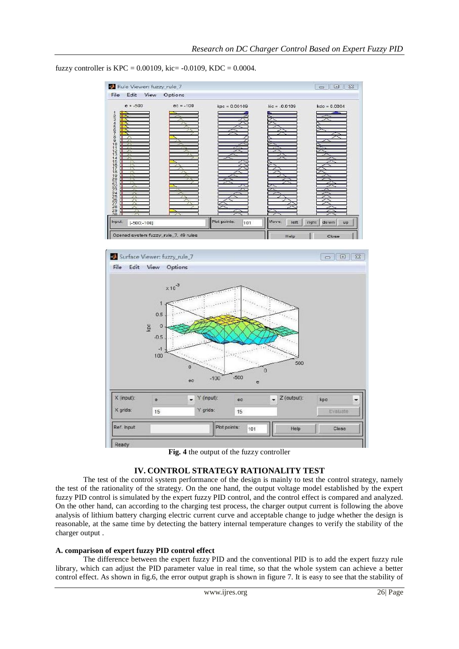

fuzzy controller is  $KPC = 0.00109$ , kic= -0.0109, KDC = 0.0004.

**Fig. 4** the output of the fuzzy controller

## **IV. CONTROL STRATEGY RATIONALITY TEST**

The test of the control system performance of the design is mainly to test the control strategy, namely the test of the rationality of the strategy. On the one hand, the output voltage model established by the expert fuzzy PID control is simulated by the expert fuzzy PID control, and the control effect is compared and analyzed. On the other hand, can according to the charging test process, the charger output current is following the above analysis of lithium battery charging electric current curve and acceptable change to judge whether the design is reasonable, at the same time by detecting the battery internal temperature changes to verify the stability of the charger output .

#### **A. comparison of expert fuzzy PID control effect**

The difference between the expert fuzzy PID and the conventional PID is to add the expert fuzzy rule library, which can adjust the PID parameter value in real time, so that the whole system can achieve a better control effect. As shown in fig.6, the error output graph is shown in figure 7. It is easy to see that the stability of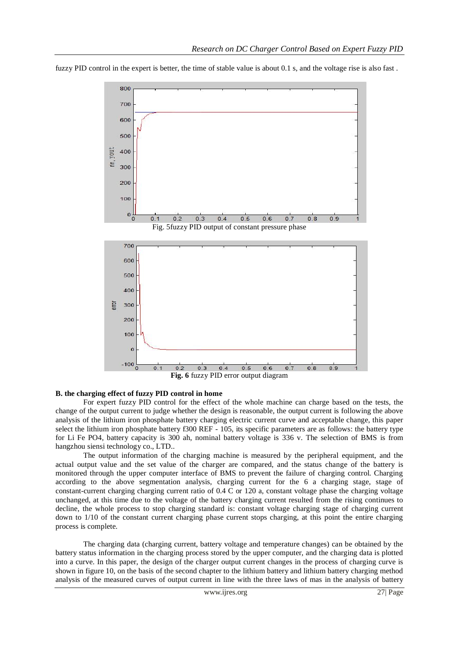

fuzzy PID control in the expert is better, the time of stable value is about 0.1 s, and the voltage rise is also fast .

# **B. the charging effect of fuzzy PID control in home**

For expert fuzzy PID control for the effect of the whole machine can charge based on the tests, the change of the output current to judge whether the design is reasonable, the output current is following the above analysis of the lithium iron phosphate battery charging electric current curve and acceptable change, this paper select the lithium iron phosphate battery f300 REF - 105, its specific parameters are as follows: the battery type for Li Fe PO4, battery capacity is 300 ah, nominal battery voltage is 336 v. The selection of BMS is from hangzhou siensi technology co., LTD..

The output information of the charging machine is measured by the peripheral equipment, and the actual output value and the set value of the charger are compared, and the status change of the battery is monitored through the upper computer interface of BMS to prevent the failure of charging control. Charging according to the above segmentation analysis, charging current for the 6 a charging stage, stage of constant-current charging charging current ratio of 0.4 C or 120 a, constant voltage phase the charging voltage unchanged, at this time due to the voltage of the battery charging current resulted from the rising continues to decline, the whole process to stop charging standard is: constant voltage charging stage of charging current down to 1/10 of the constant current charging phase current stops charging, at this point the entire charging process is complete.

The charging data (charging current, battery voltage and temperature changes) can be obtained by the battery status information in the charging process stored by the upper computer, and the charging data is plotted into a curve. In this paper, the design of the charger output current changes in the process of charging curve is shown in figure 10, on the basis of the second chapter to the lithium battery and lithium battery charging method analysis of the measured curves of output current in line with the three laws of mas in the analysis of battery